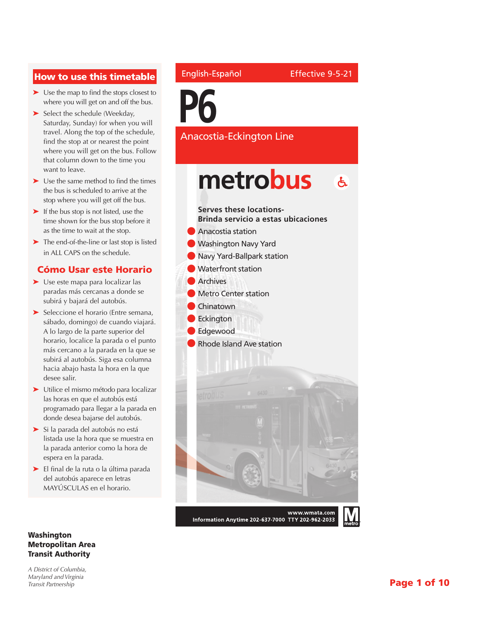#### How to use this timetable

- ➤ Use the map to find the stops closest to where you will get on and off the bus.
- ► Select the schedule (Weekday, Saturday, Sunday) for when you will travel. Along the top of the schedule, find the stop at or nearest the point where you will get on the bus. Follow that column down to the time you want to leave.
- ➤ Use the same method to find the times the bus is scheduled to arrive at the stop where you will get off the bus.
- ➤ If the bus stop is not listed, use the time shown for the bus stop before it as the time to wait at the stop.
- ➤ The end-of-the-line or last stop is listed in ALL CAPS on the schedule.

#### Cómo Usar este Horario

- ➤ Use este mapa para localizar las paradas más cercanas a donde se subirá y bajará del autobús.
- ➤ Seleccione el horario (Entre semana, sábado, domingo) de cuando viajará. A lo largo de la parte superior del horario, localice la parada o el punto más cercano a la parada en la que se subirá al autobús. Siga esa columna hacia abajo hasta la hora en la que desee salir.
- ➤ Utilice el mismo método para localizar las horas en que el autobús está programado para llegar a la parada en donde desea bajarse del autobús.
- ➤ Si la parada del autobús no está listada use la hora que se muestra en la parada anterior como la hora de espera en la parada.
- ➤ El final de la ruta o la última parada del autobús aparece en letras MAYÚSCULAS en el horario.

#### Washington Metropolitan Area Transit Authority

*A District of Columbia, Maryland and Virginia Transit Partnership*

#### English-Español

**P6**

Anacostia-Eckington Line

Effective 9-5-21

metrobus  $\mathbf{A}$ **Serves these locations-Brinda servicio a estas ubicaciones** l Anacostia station **Washington Navy Yard Navy Yard-Ballpark station Waterfront station Archives Metro Center station Chinatown C** Eckington l Edgewood **Rhode Island Ave station** www.wmata.com Information Anytime 202-637-7000 TTY 202-962-2033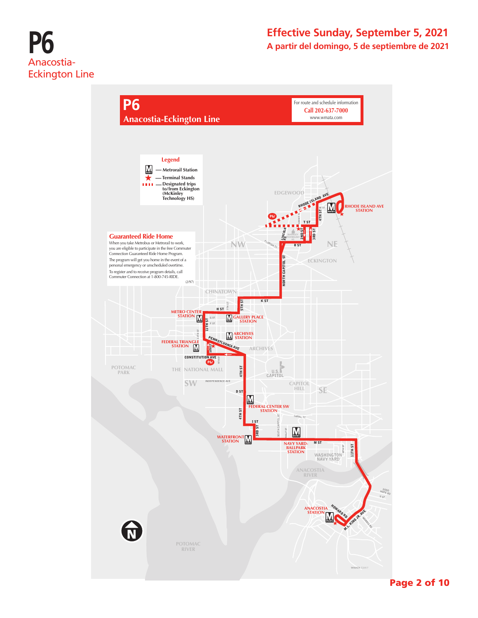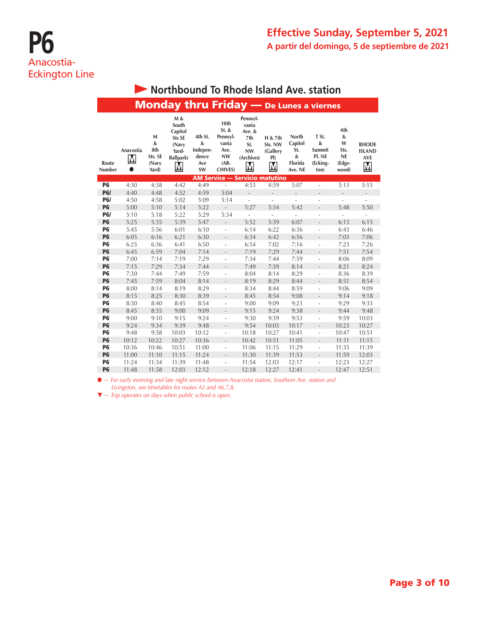|                        | <b>Monday thru Friday</b> - De Lunes a viernes |                                            |                                                                       |                                                |                                                                                         |                                                                                                 |                                                                  |                                                    |                                                       |                                                       |                                                  |  |  |
|------------------------|------------------------------------------------|--------------------------------------------|-----------------------------------------------------------------------|------------------------------------------------|-----------------------------------------------------------------------------------------|-------------------------------------------------------------------------------------------------|------------------------------------------------------------------|----------------------------------------------------|-------------------------------------------------------|-------------------------------------------------------|--------------------------------------------------|--|--|
| Route<br>Number        | Anacostia<br>M                                 | M<br>&<br>8th<br>Sts. SE<br>(Navy<br>Yard) | M &<br>South<br>Capitol<br>Sts SE<br>(Navy<br>Yard-<br>Ballpark)<br>M | 4th St.<br>&<br>Indepen-<br>dence<br>Ave<br>SW | 10th<br>$St.$ &<br>Pennsyl-<br>vania<br>Ave.<br><b>NW</b><br>$(AR -$<br><b>CHIVES</b> ) | Pennsyl-<br>vania<br>Ave. &<br>7th<br>St.<br><b>NW</b><br>(Archives)<br>$\overline{\mathsf{M}}$ | H & 7th<br>Sts. NW<br>(Gallery<br>P()<br>$\overline{\mathsf{M}}$ | North<br>Capitol<br>St.<br>&<br>Florida<br>Ave. NE | T St.<br>$\&$<br>Summit<br>Pl. NE<br>(Ecking-<br>ton) | 4th<br>&<br>W<br>Sts.<br><b>NE</b><br>(Edge-<br>wood) | <b>RHODE</b><br><b>ISLAND</b><br><b>AVE</b><br>M |  |  |
|                        |                                                |                                            |                                                                       |                                                |                                                                                         | <b>AM Service - Servicio matutino</b>                                                           |                                                                  |                                                    |                                                       |                                                       |                                                  |  |  |
| <b>P6</b>              | 4:30                                           | 4:38                                       | 4:42                                                                  | 4:49                                           | ÷,                                                                                      | 4:53                                                                                            | 4:59                                                             | 5:07                                               | ÷,                                                    | 5:13                                                  | 5:15                                             |  |  |
| <b>P6/</b>             | 4:40                                           | 4:48                                       | 4:52                                                                  | 4:59                                           | 5:04                                                                                    | $\overline{\phantom{a}}$                                                                        | $\qquad \qquad \blacksquare$                                     | $\overline{\phantom{0}}$                           | $\bar{a}$                                             | $\overline{\phantom{0}}$                              | $\overline{\phantom{0}}$                         |  |  |
| <b>P6/</b>             | 4:50                                           | 4:58                                       | 5:02                                                                  | 5:09                                           | 5:14                                                                                    | ÷                                                                                               | ÷,                                                               |                                                    | ÷,                                                    | L                                                     |                                                  |  |  |
| <b>P6</b>              | 5:00                                           | 5:10                                       | 5:14                                                                  | 5:22                                           | $\overline{a}$                                                                          | 5:27                                                                                            | 5:34                                                             | 5:42                                               | $\overline{\phantom{a}}$                              | 5:48                                                  | 5:50                                             |  |  |
| <b>P6/</b>             | 5:10                                           | 5:18                                       | 5:22                                                                  | 5:29                                           | 5:34                                                                                    | ÷                                                                                               |                                                                  |                                                    | ä,                                                    | L,                                                    | ÷                                                |  |  |
| <b>P6</b>              | 5:25                                           | 5:35                                       | 5:39                                                                  | 5:47                                           | $\overline{a}$                                                                          | 5:52                                                                                            | 5:59                                                             | 6:07                                               | $\frac{1}{2}$                                         | 6:13                                                  | 6:15                                             |  |  |
| <b>P6</b>              | 5:45                                           | 5:56                                       | 6:01                                                                  | 6:10                                           | ä,                                                                                      | 6:14                                                                                            | 6:22                                                             | 6:36                                               | ÷,                                                    | 6:43                                                  | 6:46                                             |  |  |
| <b>P6</b>              | 6:05                                           | 6:16                                       | 6:21                                                                  | 6:30                                           | $\overline{\phantom{0}}$                                                                | 6:34                                                                                            | 6:42                                                             | 6:56                                               | $\frac{1}{2}$                                         | 7:03                                                  | 7:06                                             |  |  |
| <b>P6</b>              | 6:25                                           | 6:36                                       | 6:41                                                                  | 6:50                                           | ä,                                                                                      | 6:54                                                                                            | 7:02                                                             | 7:16                                               | ÷,                                                    | 7:23                                                  | 7:26                                             |  |  |
| <b>P6</b>              | 6:45                                           | 6:59                                       | 7:04                                                                  | 7:14                                           | $\overline{a}$                                                                          | 7:19                                                                                            | 7:29                                                             | 7:44                                               | $\overline{\phantom{0}}$                              | 7:51                                                  | 7:54                                             |  |  |
| <b>P6</b>              | 7:00                                           | 7:14                                       | 7:19                                                                  | 7:29                                           | ä,                                                                                      | 7:34                                                                                            | 7:44                                                             | 7:59                                               | ÷,                                                    | 8:06                                                  | 8:09                                             |  |  |
| <b>P6</b>              | 7:15                                           | 7:29                                       | 7:34                                                                  | 7:44                                           | $\overline{a}$                                                                          | 7:49                                                                                            | 7:59                                                             | 8:14                                               | $\overline{\phantom{0}}$                              | 8:21                                                  | 8:24                                             |  |  |
| <b>P6</b>              | 7:30                                           | 7:44                                       | 7:49                                                                  | 7:59                                           | ä,                                                                                      | 8:04                                                                                            | 8:14                                                             | 8:29                                               | $\overline{\phantom{a}}$                              | 8:36                                                  | 8:39                                             |  |  |
| <b>P6</b><br><b>P6</b> | 7:45<br>8:00                                   | 7:59<br>8:14                               | 8:04<br>8:19                                                          | 8:14<br>8:29                                   | $\overline{a}$                                                                          | 8:19                                                                                            | 8:29<br>8:44                                                     | 8:44<br>8:59                                       | $\overline{\phantom{0}}$                              | 8:51<br>9:06                                          | 8:54<br>9:09                                     |  |  |
| <b>P6</b>              | 8:15                                           | 8:25                                       | 8:30                                                                  | 8:39                                           | ä,                                                                                      | 8:34<br>8:45                                                                                    | 8:54                                                             | 9:08                                               | $\overline{\phantom{a}}$<br>$\frac{1}{2}$             | 9:14                                                  | 9:18                                             |  |  |
| <b>P6</b>              | 8:30                                           | 8:40                                       | 8:45                                                                  | 8:54                                           | $\overline{a}$<br>÷                                                                     | 9:00                                                                                            | 9:09                                                             | 9:23                                               | ÷                                                     | 9:29                                                  | 9:33                                             |  |  |
| <b>P6</b>              | 8:45                                           | 8:55                                       | 9:00                                                                  | 9:09                                           | L,                                                                                      | 9:15                                                                                            | 9:24                                                             | 9:38                                               | $\frac{1}{2}$                                         | 9:44                                                  | 9:48                                             |  |  |
| <b>P6</b>              | 9:00                                           | 9:10                                       | 9:15                                                                  | 9:24                                           | ÷                                                                                       | 9:30                                                                                            | 9:39                                                             | 9:53                                               | ÷                                                     | 9:59                                                  | 10:03                                            |  |  |
| <b>P6</b>              | 9:24                                           | 9:34                                       | 9:39                                                                  | 9:48                                           | $\overline{a}$                                                                          | 9:54                                                                                            | 10:03                                                            | 10:17                                              | $\frac{1}{2}$                                         | 10:23                                                 | 10:27                                            |  |  |
| <b>P6</b>              | 9:48                                           | 9:58                                       | 10:03                                                                 | 10:12                                          | ÷                                                                                       | 10:18                                                                                           | 10:27                                                            | 10:41                                              | ÷                                                     | 10:47                                                 | 10:51                                            |  |  |
| <b>P6</b>              | 10:12                                          | 10:22                                      | 10:27                                                                 | 10:36                                          | $\overline{a}$                                                                          | 10:42                                                                                           | 10:51                                                            | 11:05                                              | $\frac{1}{2}$                                         | 11:11                                                 | 11:15                                            |  |  |
| <b>P6</b>              | 10:36                                          | 10:46                                      | 10:51                                                                 | 11:00                                          | $\overline{\phantom{0}}$                                                                | 11:06                                                                                           | 11:15                                                            | 11:29                                              | ÷                                                     | 11:35                                                 | 11:39                                            |  |  |
| <b>P6</b>              | 11:00                                          | 11:10                                      | 11:15                                                                 | 11:24                                          | $\overline{a}$                                                                          | 11:30                                                                                           | 11:39                                                            | 11:53                                              | $\overline{\phantom{a}}$                              | 11:59                                                 | 12:03                                            |  |  |
| <b>P6</b>              | 11:24                                          | 11:34                                      | 11:39                                                                 | 11:48                                          | $\overline{\phantom{0}}$                                                                | 11:54                                                                                           | 12:03                                                            | 12:17                                              | ä,                                                    | 12:23                                                 | 12:27                                            |  |  |
| <b>P6</b>              | 11:48                                          | 11:58                                      | 12:03                                                                 | 12:12                                          | $\overline{a}$                                                                          | 12:18                                                                                           | 12:27                                                            | 12:41                                              | ÷,                                                    | 12:47                                                 | 12:51                                            |  |  |

## **• Northbound To Rhode Island Ave. station**

l *— For early morning and late night service between Anacostia station, Southern Ave. station and Livingston, see timetables for routes A2 and A6,7,8.*

 $\blacktriangledown$  *- Trip operates on days when public school is open.*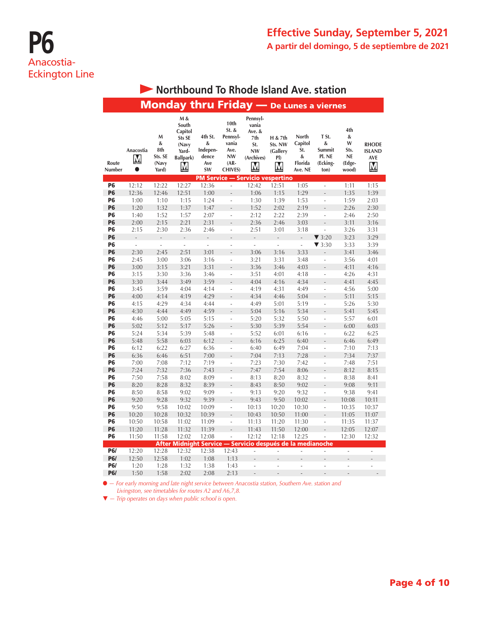|                 |                             |                                            | <b>Monday thru Friday</b> - De Lunes a viernes                               |                                                |                                                                                       |                                                                           |                                            |                                                    |                                                    |                                                       |                                                  |
|-----------------|-----------------------------|--------------------------------------------|------------------------------------------------------------------------------|------------------------------------------------|---------------------------------------------------------------------------------------|---------------------------------------------------------------------------|--------------------------------------------|----------------------------------------------------|----------------------------------------------------|-------------------------------------------------------|--------------------------------------------------|
| Route<br>Number | Anacostia<br>M<br>$\bullet$ | М<br>&<br>8th<br>Sts. SE<br>(Navy<br>Yard) | M &<br>South<br>Capitol<br>Sts SE<br>(Navy<br>Yard-<br><b>Ballpark)</b><br>Μ | 4th St.<br>&<br>Indepen-<br>dence<br>Ave<br>SW | 10th<br>St. &<br>Pennsyl-<br>vania<br>Ave.<br><b>NW</b><br>$(AR -$<br><b>CHIVES</b> ) | Pennsyl-<br>vania<br>Ave. &<br>7th<br>St.<br><b>NW</b><br>(Archives)<br>M | H & 7th<br>Sts. NW<br>(Gallery<br>PI)<br>М | North<br>Capitol<br>St.<br>&<br>Florida<br>Ave. NE | T St.<br>&<br>Summit<br>Pl. NE<br>(Ecking-<br>ton) | 4th<br>&<br>W<br>Sts.<br><b>NE</b><br>(Edge-<br>wood) | <b>RHODE</b><br><b>ISLAND</b><br><b>AVE</b><br>M |
|                 |                             |                                            |                                                                              |                                                | <b>PM Service — Servicio vespertino</b>                                               |                                                                           |                                            |                                                    |                                                    |                                                       |                                                  |
| P6              | 12:12                       | 12:22                                      | 12:27                                                                        | 12:36                                          | ÷,                                                                                    | 12:42                                                                     | 12:51                                      | 1:05                                               | $\overline{\phantom{a}}$                           | 1:11                                                  | 1:15                                             |
| P <sub>6</sub>  | 12:36                       | 12:46                                      | 12:51                                                                        | 1:00                                           |                                                                                       | 1:06                                                                      | 1:15                                       | 1:29                                               |                                                    | 1:35                                                  | 1:39                                             |
| P <sub>6</sub>  | 1:00                        | 1:10                                       | 1:15                                                                         | 1:24                                           | L                                                                                     | 1:30                                                                      | 1:39                                       | 1:53                                               | ÷,                                                 | 1:59                                                  | 2:03                                             |
| <b>P6</b>       | 1:20                        | 1:32                                       | 1:37                                                                         | 1:47                                           |                                                                                       | 1:52                                                                      | 2:02                                       | 2:19                                               |                                                    | 2:26                                                  | 2:30                                             |
| P6              | 1:40                        | 1:52                                       | 1:57                                                                         | 2:07                                           | $\overline{a}$                                                                        | 2:12                                                                      | 2:22                                       | 2:39                                               | $\overline{a}$                                     | 2:46                                                  | 2:50                                             |
| <b>P6</b>       | 2:00                        | 2:15                                       | 2:21                                                                         | 2:31                                           |                                                                                       | 2:36                                                                      | 2:46                                       | 3:03                                               |                                                    | 3:11                                                  | 3:16                                             |
| P6              | 2:15                        | 2:30                                       | 2:36                                                                         | 2:46                                           | L                                                                                     | 2:51                                                                      | 3:01                                       | 3:18                                               | $\overline{a}$                                     | 3:26                                                  | 3:31                                             |
| <b>P6</b>       | $\frac{1}{2}$               | $\label{eq:reduced}$                       | $\frac{1}{2}$                                                                | $\overline{a}$                                 |                                                                                       | $\overline{a}$                                                            | $\overline{a}$                             | $\overline{a}$                                     | $\blacktriangledown$ 3:20                          | 3:23                                                  | 3:29                                             |
| P <sub>6</sub>  | L,                          | $\overline{\phantom{a}}$                   | $\Box$                                                                       | $\frac{1}{2}$                                  | $\overline{a}$                                                                        | L,                                                                        | L,                                         | $\overline{\phantom{a}}$                           | $\blacktriangledown$ 3:30                          | 3:33                                                  | 3:39                                             |
| P6              | 2:30                        | 2:45                                       | 2:51                                                                         | 3:01                                           |                                                                                       | 3:06                                                                      | 3:16                                       | 3:33                                               | $\overline{a}$                                     | 3:41                                                  | 3:46                                             |
| P6              | 2:45                        | 3:00                                       | 3:06                                                                         | 3:16                                           | ÷                                                                                     | 3:21                                                                      | 3:31                                       | 3:48                                               | $\overline{a}$                                     | 3:56                                                  | 4:01                                             |
| P6              | 3:00                        | 3:15                                       | 3:21                                                                         | 3:31                                           |                                                                                       | 3:36                                                                      | 3:46                                       | 4:03                                               |                                                    | 4:11                                                  | 4:16                                             |
| P6              | 3:15                        | 3:30                                       | 3:36                                                                         | 3:46                                           | L                                                                                     | 3:51                                                                      | 4:01                                       | 4:18                                               | ÷,                                                 | 4:26                                                  | 4:31                                             |
| P6              | 3:30                        | 3:44                                       | 3:49                                                                         | 3:59                                           |                                                                                       | 4:04                                                                      | 4:16                                       | 4:34                                               |                                                    | 4:41                                                  | 4:45                                             |
| P6              | 3:45                        | 3:59                                       | 4:04                                                                         | 4:14                                           |                                                                                       | 4:19                                                                      | 4:31                                       | 4:49                                               | J.                                                 | 4:56                                                  | 5:00                                             |
| P6              | 4:00                        | 4:14                                       | 4:19                                                                         | 4:29                                           |                                                                                       | 4:34                                                                      | 4:46                                       | 5:04                                               |                                                    | 5:11                                                  | 5:15                                             |
| P6              | 4:15                        | 4:29                                       | 4:34                                                                         | 4:44                                           | L,                                                                                    | 4:49                                                                      | 5:01                                       | 5:19                                               | ÷,                                                 | 5:26                                                  | 5:30                                             |
| P <sub>6</sub>  | 4:30                        | 4:44                                       | 4:49                                                                         | 4:59                                           |                                                                                       | 5:04                                                                      | 5:16                                       | 5:34                                               | Ē,                                                 | 5:41                                                  | 5:45                                             |
| P6              | 4:46                        | 5:00                                       | 5:05                                                                         | 5:15                                           | L,                                                                                    | 5:20                                                                      | 5:32                                       | 5:50                                               | ÷,                                                 | 5:57                                                  | 6:01                                             |
| P <sub>6</sub>  | 5:02                        | 5:12                                       | 5:17                                                                         | 5:26                                           |                                                                                       | 5:30                                                                      | 5:39                                       | 5:54                                               |                                                    | 6:00                                                  | 6:03                                             |
| P6              | 5:24                        | 5:34                                       | 5:39                                                                         | 5:48                                           | ä,                                                                                    | 5:52                                                                      | 6:01                                       | 6:16                                               | ÷,                                                 | 6:22                                                  | 6:25                                             |
| <b>P6</b>       | 5:48                        | 5:58                                       | 6:03                                                                         | 6:12                                           |                                                                                       | 6:16                                                                      | 6:25                                       | 6:40                                               | $\overline{a}$                                     | 6:46                                                  | 6:49                                             |
| P <sub>6</sub>  | 6:12                        | 6:22                                       | 6:27                                                                         | 6:36                                           | L                                                                                     | 6:40                                                                      | 6:49                                       | 7:04                                               | ÷,                                                 | 7:10                                                  | 7:13                                             |
| <b>P6</b>       | 6:36                        | 6:46                                       | 6:51                                                                         | 7:00                                           |                                                                                       | 7:04                                                                      | 7:13                                       | 7:28                                               |                                                    | 7:34                                                  | 7:37                                             |
| P6              | 7:00                        | 7:08                                       | 7:12                                                                         | 7:19                                           | L,                                                                                    | 7:23                                                                      | 7:30                                       | 7:42                                               | $\overline{a}$                                     | 7:48                                                  | 7:51                                             |
| <b>P6</b><br>P6 | 7:24<br>7:50                | 7:32<br>7:58                               | 7:36<br>8:02                                                                 | 7:43<br>8:09                                   | $\overline{a}$                                                                        | 7:47<br>8:13                                                              | 7:54<br>8:20                               | 8:06<br>8:32                                       | $\overline{\phantom{a}}$                           | 8:12<br>8:38                                          | 8:15<br>8:41                                     |
| P <sub>6</sub>  | 8:20                        | 8:28                                       | 8:32                                                                         | 8:39                                           |                                                                                       |                                                                           | 8:50                                       |                                                    |                                                    |                                                       | 9:11                                             |
| P6              |                             |                                            | 9:02                                                                         |                                                |                                                                                       | 8:43                                                                      |                                            | 9:02                                               |                                                    | 9:08                                                  |                                                  |
| <b>P6</b>       | 8:50<br>9:20                | 8:58<br>9:28                               | 9:32                                                                         | 9:09<br>9:39                                   | L,                                                                                    | 9:13<br>9:43                                                              | 9:20<br>9:50                               | 9:32<br>10:02                                      | ÷,                                                 | 9:38<br>10:08                                         | 9:41<br>10:11                                    |
| P6              | 9:50                        | 9:58                                       | 10:02                                                                        | 10:09                                          | L,                                                                                    | 10:13                                                                     | 10:20                                      | 10:30                                              | $\overline{\phantom{a}}$                           | 10:35                                                 | 10:37                                            |
| <b>P6</b>       | 10:20                       | 10:28                                      | 10:32                                                                        | 10:39                                          | L.                                                                                    | 10:43                                                                     | 10:50                                      | 11:00                                              |                                                    | 11:05                                                 | 11:07                                            |
| <b>P6</b>       | 10:50                       | 10:58                                      | 11:02                                                                        | 11:09                                          | L                                                                                     | 11:13                                                                     | 11:20                                      | 11:30                                              | i,                                                 | 11:35                                                 | 11:37                                            |
| <b>P6</b>       | 11:20                       | 11:28                                      | 11:32                                                                        | 11:39                                          | $\overline{a}$                                                                        | 11:43                                                                     | 11:50                                      | 12:00                                              |                                                    | 12:05                                                 | 12:07                                            |
| <b>P6</b>       | 11:50                       | 11:58                                      | 12:02                                                                        | 12:08                                          | L                                                                                     | 12:12                                                                     | 12:18                                      | 12:25                                              | L                                                  | 12:30                                                 | 12:32                                            |
|                 |                             |                                            | After Midnight Service — Servicio después de la medianoche                   |                                                |                                                                                       |                                                                           |                                            |                                                    |                                                    |                                                       |                                                  |
| <b>P6/</b>      | 12:20                       | 12:28                                      | 12:32                                                                        | 12:38                                          | 12:43                                                                                 | L,                                                                        | ä,                                         | $\overline{\phantom{a}}$                           | ÷,                                                 | $\overline{\phantom{a}}$                              | ÷,                                               |
| <b>P6/</b>      | 12:50                       | 12:58                                      | 1:02                                                                         | 1:08                                           | 1:13                                                                                  |                                                                           |                                            |                                                    |                                                    |                                                       |                                                  |
| P6/             | 1:20                        | 1:28                                       | 1:32                                                                         | 1:38                                           | 1:43                                                                                  | Ĭ.                                                                        |                                            | Ĭ.                                                 |                                                    |                                                       |                                                  |
| <b>P6/</b>      | 1:50                        | 1:58                                       | 2:02                                                                         | 2:08                                           | 2:13                                                                                  |                                                                           |                                            |                                                    |                                                    |                                                       |                                                  |

## **• Northbound To Rhode Island Ave. station**

l *— For early morning and late night service between Anacostia station, Southern Ave. station and Livingston, see timetables for routes A2 and A6,7,8.*

 $\blacktriangledown$  *- Trip operates on days when public school is open.*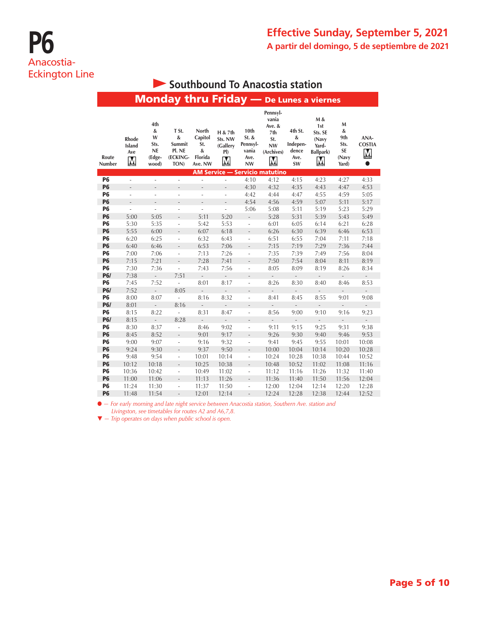## **Southbound To Anacostia station**

|                 |                                        |                                                       | <b>Monday thru Friday</b> — De Lunes a viernes              |                                                                    |                                                       |                                                    |                                                                      |                                                 |                                                                                 |                                               |                                 |
|-----------------|----------------------------------------|-------------------------------------------------------|-------------------------------------------------------------|--------------------------------------------------------------------|-------------------------------------------------------|----------------------------------------------------|----------------------------------------------------------------------|-------------------------------------------------|---------------------------------------------------------------------------------|-----------------------------------------------|---------------------------------|
| Route<br>Number | Rhode<br>Island<br>Ave<br>$\mathbf{M}$ | 4th<br>&<br>W<br>Sts.<br><b>NE</b><br>(Edge-<br>wood) | T St.<br>$\pmb{\&}$<br>Summit<br>Pl. NE<br>(ECKING-<br>TON) | North<br>Capitol<br>St.<br>$\boldsymbol{\&}$<br>Florida<br>Ave. NW | H & 7th<br>Sts. NW<br>(Gallery<br>PI)<br>$\mathbf{M}$ | 10th<br>$St.$ &<br>Pennsyl-<br>vania<br>Ave.<br>NW | Pennsyl-<br>vania<br>Ave. &<br>7th<br>St.<br><b>NW</b><br>(Archives) | 4th St.<br>&<br>Indepen-<br>dence<br>Ave.<br>SW | M &<br>1st<br>Sts. SE<br>(Navy<br>Yard-<br>Ballpark)<br>$\overline{\mathsf{M}}$ | M<br>&<br>9th<br>Sts.<br>SE<br>(Navy<br>Yard) | ANA-<br><b>COSTIA</b><br>M<br>0 |
|                 |                                        |                                                       |                                                             |                                                                    |                                                       |                                                    | <b>AM Service - Servicio matutino</b>                                |                                                 |                                                                                 |                                               |                                 |
| <b>P6</b>       | ä,                                     | ÷,                                                    | ÷,                                                          | i,                                                                 | ÷,                                                    | 4:10                                               | 4:12                                                                 | 4:15                                            | 4:23                                                                            | 4:27                                          | 4:33                            |
| <b>P6</b>       | $\overline{\phantom{m}}$               | $\overline{\phantom{a}}$                              | $\overline{\phantom{m}}$                                    | $\frac{1}{2}$                                                      | $\overline{\phantom{a}}$                              | 4:30                                               | 4:32                                                                 | 4:35                                            | 4:43                                                                            | 4:47                                          | 4:53                            |
| <b>P6</b>       | L                                      | ÷,                                                    | ÷,                                                          | ÷,                                                                 | ä,                                                    | 4:42                                               | 4:44                                                                 | 4:47                                            | 4:55                                                                            | 4:59                                          | 5:05                            |
| <b>P6</b>       | $\overline{a}$                         | $\overline{a}$                                        | $\frac{1}{2}$                                               | L,                                                                 | L,                                                    | 4:54                                               | 4:56                                                                 | 4:59                                            | 5:07                                                                            | 5:11                                          | 5:17                            |
| P <sub>6</sub>  | $\frac{1}{2}$                          | ÷,                                                    | ÷,                                                          | ÷,                                                                 | ÷,                                                    | 5:06                                               | 5:08                                                                 | 5:11                                            | 5:19                                                                            | 5:23                                          | 5:29                            |
| <b>P6</b>       | 5:00                                   | 5:05                                                  | $\overline{a}$                                              | 5:11                                                               | 5:20                                                  | $\overline{a}$                                     | 5:28                                                                 | 5:31                                            | 5:39                                                                            | 5:43                                          | 5:49                            |
| <b>P6</b>       | 5:30                                   | 5:35                                                  | ÷,                                                          | 5:42                                                               | 5:53                                                  | ÷,                                                 | 6:01                                                                 | 6:05                                            | 6:14                                                                            | 6:21                                          | 6:28                            |
| <b>P6</b>       | 5:55                                   | 6:00                                                  | $\qquad \qquad \blacksquare$                                | 6:07                                                               | 6:18                                                  | $\overline{\phantom{a}}$                           | 6:26                                                                 | 6:30                                            | 6:39                                                                            | 6:46                                          | 6:53                            |
| <b>P6</b>       | 6:20                                   | 6:25                                                  | ÷,                                                          | 6:32                                                               | 6:43                                                  | ÷,                                                 | 6:51                                                                 | 6:55                                            | 7:04                                                                            | 7:11                                          | 7:18                            |
| <b>P6</b>       | 6:40                                   | 6:46                                                  | $\overline{\phantom{a}}$                                    | 6:53                                                               | 7:06                                                  | $\overline{\phantom{0}}$                           | 7:15                                                                 | 7:19                                            | 7:29                                                                            | 7:36                                          | 7:44                            |
| <b>P6</b>       | 7:00                                   | 7:06                                                  | $\overline{\phantom{a}}$                                    | 7:13                                                               | 7:26                                                  | $\overline{\phantom{a}}$                           | 7:35                                                                 | 7:39                                            | 7:49                                                                            | 7:56                                          | 8:04                            |
| <b>P6</b>       | 7:15                                   | 7:21                                                  | $\overline{a}$                                              | 7:28                                                               | 7:41                                                  |                                                    | 7:50                                                                 | 7:54                                            | 8:04                                                                            | 8:11                                          | 8:19                            |
| <b>P6</b>       | 7:30                                   | 7:36                                                  | $\overline{\phantom{a}}$                                    | 7:43                                                               | 7:56                                                  | $\overline{\phantom{a}}$                           | 8:05                                                                 | 8:09                                            | 8:19                                                                            | 8:26                                          | 8:34                            |
| <b>P6/</b>      | 7:38                                   | $\overline{\phantom{a}}$                              | 7:51                                                        | $\overline{\phantom{a}}$                                           | $\overline{\phantom{a}}$                              | $\overline{a}$                                     | $\overline{\phantom{a}}$                                             | ٥                                               | $\overline{\phantom{a}}$                                                        | $\mathcal{L}^{\pm}$                           | ÷,                              |
| <b>P6</b>       | 7:45                                   | 7:52                                                  | L,                                                          | 8:01                                                               | 8:17                                                  | ä,                                                 | 8:26                                                                 | 8:30                                            | 8:40                                                                            | 8:46                                          | 8:53                            |
| <b>P6/</b>      | 7:52                                   | $\overline{\phantom{a}}$                              | 8:05                                                        | $\overline{\phantom{m}}$                                           | $\qquad \qquad -$                                     | $\overline{\phantom{0}}$                           | $\overline{\phantom{a}}$                                             | $\qquad \qquad -$                               | $\frac{1}{2}$                                                                   | $\blacksquare$                                | $\overline{a}$                  |
| <b>P6</b>       | 8:00                                   | 8:07                                                  | $\overline{a}$                                              | 8:16                                                               | 8:32                                                  | $\overline{\phantom{a}}$                           | 8:41                                                                 | 8:45                                            | 8:55                                                                            | 9:01                                          | 9:08                            |
| <b>P6/</b>      | 8:01                                   | $\frac{1}{2}$                                         | 8:16                                                        | $\qquad \qquad \blacksquare$                                       | $\overline{\phantom{a}}$                              | $\qquad \qquad -$                                  | $\qquad \qquad \blacksquare$                                         | $\overline{\phantom{a}}$                        | $\frac{1}{2}$                                                                   | $\overline{\phantom{a}}$                      | ÷,                              |
| <b>P6</b>       | 8:15                                   | 8:22                                                  | $\overline{\phantom{a}}$                                    | 8:31                                                               | 8:47                                                  | ÷                                                  | 8:56                                                                 | 9:00                                            | 9:10                                                                            | 9:16                                          | 9:23                            |
| <b>P6/</b>      | 8:15                                   | $\mathcal{L}^{\pm}$                                   | 8:28                                                        | $\overline{\phantom{a}}$                                           | $\overline{\phantom{a}}$                              | $\overline{a}$                                     | $\overline{\phantom{a}}$                                             | $\overline{\phantom{a}}$                        | $\overline{\phantom{a}}$                                                        | $\overline{\phantom{a}}$                      | $\overline{\phantom{a}}$        |
| <b>P6</b>       | 8:30                                   | 8:37                                                  | ä,                                                          | 8:46                                                               | 9:02                                                  | $\overline{\phantom{a}}$                           | 9:11                                                                 | 9:15                                            | 9:25                                                                            | 9:31                                          | 9:38                            |
| <b>P6</b>       | 8:45                                   | 8:52                                                  | $\overline{\phantom{a}}$                                    | 9:01                                                               | 9:17                                                  |                                                    | 9:26                                                                 | 9:30                                            | 9:40                                                                            | 9:46                                          | 9:53                            |
| <b>P6</b>       | 9:00                                   | 9:07                                                  | ÷,                                                          | 9:16                                                               | 9:32                                                  | ÷                                                  | 9:41                                                                 | 9:45                                            | 9:55                                                                            | 10:01                                         | 10:08                           |
| <b>P6</b>       | 9:24                                   | 9:30                                                  | $\frac{1}{2}$                                               | 9:37                                                               | 9:50                                                  | $\overline{a}$                                     | 10:00                                                                | 10:04                                           | 10:14                                                                           | 10:20                                         | 10:28                           |
| <b>P6</b>       | 9:48                                   | 9:54                                                  | L,                                                          | 10:01                                                              | 10:14                                                 | ÷,                                                 | 10:24                                                                | 10:28                                           | 10:38                                                                           | 10:44                                         | 10:52                           |
| <b>P6</b>       | 10:12                                  | 10:18                                                 | $\frac{1}{2}$                                               | 10:25                                                              | 10:38                                                 | $\overline{a}$                                     | 10:48                                                                | 10:52                                           | 11:02                                                                           | 11:08                                         | 11:16                           |
| <b>P6</b>       | 10:36                                  | 10:42                                                 | $\overline{\phantom{a}}$                                    | 10:49                                                              | 11:02                                                 | ÷,                                                 | 11:12                                                                | 11:16                                           | 11:26                                                                           | 11:32                                         | 11:40                           |
| <b>P6</b>       | 11:00                                  | 11:06                                                 | $\qquad \qquad \blacksquare$                                | 11:13                                                              | 11:26                                                 | $\overline{\phantom{0}}$                           | 11:36                                                                | 11:40                                           | 11:50                                                                           | 11:56                                         | 12:04                           |
| <b>P6</b>       | 11:24                                  | 11:30                                                 | ÷,                                                          | 11:37                                                              | 11:50                                                 | ÷                                                  | 12:00                                                                | 12:04                                           | 12:14                                                                           | 12:20                                         | 12:28                           |
| <b>P6</b>       | 11:48                                  | 11:54                                                 | $\overline{a}$                                              | 12:01                                                              | 12:14                                                 | $\overline{a}$                                     | 12:24                                                                | 12:28                                           | 12:38                                                                           | 12:44                                         | 12:52                           |

l *— For early morning and late night service between Anacostia station, Southern Ave. station and Livingston, see timetables for routes A2 and A6,7,8.*

 $\blacktriangledown$  *- Trip operates on days when public school is open.*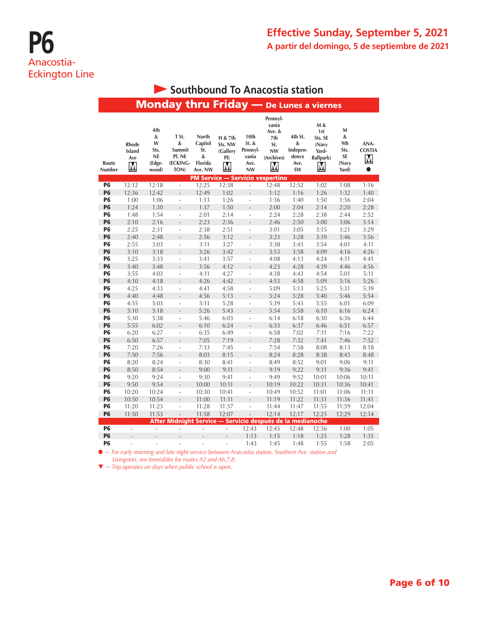|                        |                             |                                                       | Monday thru Friday - De Lunes a viernes                          |                                                    |                                            |                                                         |                                                                           |                                                 |                                                           |                                               |                                 |
|------------------------|-----------------------------|-------------------------------------------------------|------------------------------------------------------------------|----------------------------------------------------|--------------------------------------------|---------------------------------------------------------|---------------------------------------------------------------------------|-------------------------------------------------|-----------------------------------------------------------|-----------------------------------------------|---------------------------------|
| Route<br>Number        | Rhode<br>Island<br>Ave<br>M | 4th<br>&<br>W<br>Sts.<br><b>NE</b><br>(Edge-<br>wood) | T St.<br>&<br>Summit<br>Pl. NE<br>(ECKING-<br>TON)               | North<br>Capitol<br>St.<br>&<br>Florida<br>Ave. NW | H & 7th<br>Sts. NW<br>(Gallery<br>P()<br>M | 10th<br>St. &<br>Pennsyl-<br>vania<br>Ave.<br><b>NW</b> | Pennsyl-<br>vania<br>Ave. &<br>7th<br>St.<br><b>NW</b><br>(Archives)<br>M | 4th St.<br>&<br>Indepen-<br>dence<br>Ave.<br>SW | M &<br>1st<br>Sts. SE<br>(Navy<br>Yard-<br>Ballpark)<br>Μ | м<br>&<br>9th<br>Sts.<br>SE<br>(Navy<br>Yard) | ANA-<br><b>COSTIA</b><br>M<br>0 |
|                        |                             |                                                       |                                                                  |                                                    | <b>PM Service — Servicio vespertino</b>    |                                                         |                                                                           |                                                 |                                                           |                                               |                                 |
| <b>P6</b>              | 12:12                       | 12:18                                                 | ä,                                                               | 12:25                                              | 12:38                                      | $\overline{\phantom{a}}$                                | 12:48                                                                     | 12:52                                           | 1:02                                                      | 1:08                                          | 1:16                            |
| <b>P6</b>              | 12:36                       | 12:42                                                 | $\overline{a}$                                                   | 12:49                                              | 1:02                                       | $\overline{a}$                                          | 1:12                                                                      | 1:16                                            | 1:26                                                      | 1:32                                          | 1:40                            |
| P <sub>6</sub>         | 1:00                        | 1:06                                                  | ÷,                                                               | 1:13                                               | 1:26                                       | ÷,                                                      | 1:36                                                                      | 1:40                                            | 1:50                                                      | 1:56                                          | 2:04                            |
| <b>P6</b>              | 1:24                        | 1:30                                                  | $\overline{a}$                                                   | 1:37                                               | 1:50                                       | $\frac{1}{2}$                                           | 2:00                                                                      | 2:04                                            | 2:14                                                      | 2:20                                          | 2:28                            |
| <b>P6</b>              | 1:48                        | 1:54                                                  | $\overline{a}$                                                   | 2:01                                               | 2:14                                       | ÷,                                                      | 2:24                                                                      | 2:28                                            | 2:38                                                      | 2:44                                          | 2:52                            |
| <b>P6</b>              | 2:10                        | 2:16                                                  | $\overline{a}$                                                   | 2:23                                               | 2:36                                       | $\overline{a}$                                          | 2:46                                                                      | 2:50                                            | 3:00                                                      | 3:06                                          | 3:14                            |
| <b>P6</b>              | 2:25                        | 2:31                                                  | ÷,                                                               | 2:38                                               | 2:51                                       | $\overline{a}$                                          | 3:01                                                                      | 3:05                                            | 3:15                                                      | 3:21                                          | 3:29                            |
| <b>P6</b>              | 2:40                        | 2:48                                                  |                                                                  | 2:56                                               | 3:12                                       | Ĭ.                                                      | 3:23                                                                      | 3:28                                            | 3:39                                                      | 3:46                                          | 3:56                            |
| <b>P6</b>              | 2:55                        | 3:03                                                  | ÷,                                                               | 3:11                                               | 3:27                                       | ÷,                                                      | 3:38                                                                      | 3:43                                            | 3:54                                                      | 4:01                                          | 4:11                            |
| <b>P6</b>              | 3:10                        | 3:18                                                  |                                                                  | 3:26                                               | 3:42                                       | Ē,                                                      | 3:53                                                                      | 3:58                                            | 4:09                                                      | 4:16                                          | 4:26                            |
| <b>P6</b>              | 3:25                        | 3:33                                                  | ÷,                                                               | 3:41                                               | 3:57                                       | $\overline{a}$                                          | 4:08                                                                      | 4:13                                            | 4:24                                                      | 4:31                                          | 4:41                            |
| <b>P6</b>              | 3:40                        | 3:48                                                  | L                                                                | 3:56                                               | 4:12                                       | $\overline{a}$                                          | 4:23                                                                      | 4:28                                            | 4:39                                                      | 4:46                                          | 4:56                            |
| <b>P6</b>              | 3:55                        | 4:03                                                  | ÷,                                                               | 4:11                                               | 4:27                                       | i,                                                      | 4:38                                                                      | 4:43                                            | 4:54                                                      | 5:01                                          | 5:11                            |
| <b>P6</b>              | 4:10                        | 4:18                                                  | $\overline{a}$                                                   | 4:26                                               | 4:42                                       | Ĭ.                                                      | 4:53                                                                      | 4:58                                            | 5:09                                                      | 5:16                                          | 5:26                            |
| <b>P6</b>              | 4:25                        | 4:33                                                  | ÷,                                                               | 4:41                                               | 4:58                                       | ÷,                                                      | 5:09                                                                      | 5:13                                            | 5:25                                                      | 5:31                                          | 5:39                            |
| <b>P6</b>              | 4:40                        | 4:48                                                  | L.                                                               | 4:56                                               | 5:13                                       | $\overline{\phantom{m}}$                                | 5:24                                                                      | 5:28                                            | 5:40                                                      | 5:46                                          | 5:54                            |
| <b>P6</b>              | 4:55                        | 5:03                                                  | $\overline{a}$                                                   | 5:11                                               | 5:28                                       | ÷,                                                      | 5:39                                                                      | 5:43                                            | 5:55                                                      | 6:01                                          | 6:09                            |
| <b>P6</b>              | 5:10                        | 5:18                                                  |                                                                  | 5:26                                               | 5:43                                       | $\overline{a}$                                          | 5:54                                                                      | 5:58                                            | 6:10                                                      | 6:16                                          | 6:24                            |
| P <sub>6</sub>         | 5:30                        | 5:38                                                  | ÷                                                                | 5:46                                               | 6:03                                       | ÷                                                       | 6:14                                                                      | 6:18                                            | 6:30                                                      | 6:36                                          | 6:44                            |
| <b>P6</b>              | 5:55                        | 6:02                                                  |                                                                  | 6:10                                               | 6:24                                       | Ĭ.                                                      | 6:33                                                                      | 6:37                                            | 6:46                                                      | 6:51                                          | 6:57                            |
| <b>P6</b>              | 6:20                        | 6:27                                                  | ÷,                                                               | 6:35                                               | 6:49                                       | ä,                                                      | 6:58                                                                      | 7:02                                            | 7:11                                                      | 7:16                                          | 7:22                            |
| <b>P6</b>              | 6:50                        | 6:57                                                  |                                                                  | 7:05                                               | 7:19                                       | L.                                                      | 7:28                                                                      | 7:32                                            | 7:41                                                      | 7:46                                          | 7:52                            |
| <b>P6</b>              | 7:20                        | 7:26                                                  | ÷,                                                               | 7:33                                               | 7:45                                       | L,                                                      | 7:54                                                                      | 7:58                                            | 8:08                                                      | 8:13                                          | 8:18                            |
| <b>P6</b>              | 7:50                        | 7:56                                                  | L.                                                               | 8:03                                               | 8:15                                       | L.                                                      | 8:24                                                                      | 8:28                                            | 8:38                                                      | 8:43                                          | 8:48                            |
| <b>P6</b>              | 8:20                        | 8:24                                                  | ÷,                                                               | 8:30                                               | 8:41                                       | ÷                                                       | 8:49                                                                      | 8:52                                            | 9:01                                                      | 9:06                                          | 9:11                            |
| <b>P6</b>              | 8:50                        | 8:54                                                  | $\overline{a}$                                                   | 9:00                                               | 9:11                                       | Ĭ.                                                      | 9:19                                                                      | 9:22                                            | 9:31                                                      | 9:36                                          | 9:41                            |
| <b>P6</b>              | 9:20                        | 9:24                                                  | ÷,                                                               | 9:30                                               | 9:41                                       | ÷,                                                      | 9:49                                                                      | 9:52                                            | 10:01                                                     | 10:06                                         | 10:11                           |
| <b>P6</b>              | 9:50                        | 9:54                                                  | $\overline{a}$                                                   | 10:00                                              | 10:11                                      | $\frac{1}{2}$                                           | 10:19                                                                     | 10:22                                           | 10:31                                                     | 10:36                                         | 10:41                           |
| <b>P6</b><br><b>P6</b> | 10:20                       | 10:24                                                 | $\overline{a}$                                                   | 10:30                                              | 10:41                                      | L                                                       | 10:49                                                                     | 10:52                                           | 11:01                                                     | 11:06                                         | 11:11                           |
|                        | 10:50                       | 10:54                                                 | $\overline{a}$                                                   | 11:00                                              | 11:11                                      | $\overline{a}$                                          | 11:19                                                                     | 11:22                                           | 11:31                                                     | 11:36                                         | 11:41                           |
| <b>P6</b>              | 11:20                       | 11:23                                                 | i,                                                               | 11:28                                              | 11:37                                      | i,                                                      | 11:44                                                                     | 11:47                                           | 11:55                                                     | 11:59                                         | 12:04                           |
| <b>P6</b>              | 11:50                       | 11:53                                                 | $\overline{a}$                                                   | 11:58                                              | 12:07                                      | L,                                                      | 12:14                                                                     | 12:17                                           | 12:25                                                     | 12:29                                         | 12:34                           |
| <b>P6</b>              |                             |                                                       | After Midnight Service - Servicio después de la medianoche<br>÷, |                                                    |                                            | 12:43                                                   | 12:45                                                                     | 12:48                                           | 12:56                                                     |                                               |                                 |
| <b>P6</b>              | $\overline{\phantom{a}}$    | ÷,                                                    |                                                                  | ÷                                                  | L,                                         | 1:13                                                    | 1:15                                                                      | 1:18                                            | 1:25                                                      | 1:00<br>1:28                                  | 1:05<br>1:35                    |
| <b>P6</b>              |                             |                                                       |                                                                  |                                                    | $\overline{\phantom{0}}$                   |                                                         |                                                                           |                                                 |                                                           |                                               |                                 |
|                        | ÷,                          | ÷,                                                    | $\overline{a}$                                                   | ÷,                                                 | $\overline{a}$                             | 1:43                                                    | 1:45                                                                      | 1:48                                            | 1:55                                                      | 1:58                                          | 2:05                            |

### **Southbound To Anacostia station**

l *— For early morning and late night service between Anacostia station, Southern Ave. station and Livingston, see timetables for routes A2 and A6,7,8.*

t *— Trip operates on days when public school is open.*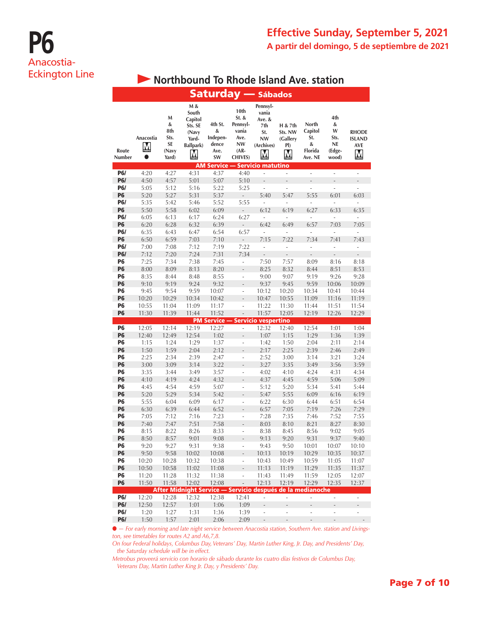# **P6** Anacostia-Eckington Line

## **• Northbound To Rhode Island Ave. station**

|                   | <b>Saturday</b> - Sábados   |                                               |                                                                        |                                                 |                                                                                  |                                                                           |                                            |                                                    |                                                |                                                  |  |  |  |
|-------------------|-----------------------------|-----------------------------------------------|------------------------------------------------------------------------|-------------------------------------------------|----------------------------------------------------------------------------------|---------------------------------------------------------------------------|--------------------------------------------|----------------------------------------------------|------------------------------------------------|--------------------------------------------------|--|--|--|
| Route<br>Number   | Anacostia<br>M<br>$\bullet$ | M<br>&<br>8th<br>Sts.<br>SE<br>(Navy<br>Yard) | M &<br>South<br>Capitol<br>Sts. SE<br>(Navy<br>Yard-<br>Ballpark)<br>M | 4th St.<br>&<br>Indepen-<br>dence<br>Ave.<br>SW | 10th<br>$St.$ &<br>Pennsyl-<br>vania<br>Ave.<br>NW<br>$(AR -$<br><b>CHIVES</b> ) | Pennsyl-<br>vania<br>Ave. &<br>7th<br>St.<br><b>NW</b><br>(Archives)<br>M | H & 7th<br>Sts. NW<br>(Gallery<br>PI)<br>Μ | North<br>Capitol<br>St.<br>&<br>Florida<br>Ave. NE | 4th<br>&<br>W<br>Sts.<br>NE<br>(Edge-<br>wood) | <b>RHODE</b><br><b>ISLAND</b><br><b>AVE</b><br>M |  |  |  |
|                   |                             |                                               |                                                                        |                                                 |                                                                                  | <b>AM Service - Servicio matutino</b>                                     |                                            |                                                    |                                                |                                                  |  |  |  |
| <b>P6/</b>        | 4:20                        | 4:27                                          | 4:31                                                                   | 4:37                                            | 4:40                                                                             | ÷                                                                         | $\overline{\phantom{a}}$                   | $\overline{a}$                                     | ÷,                                             | $\overline{a}$                                   |  |  |  |
| <b>P6/</b><br>P6/ | 4:50                        | 4:57<br>5:12                                  | 5:01<br>5:16                                                           | 5:07<br>5:22                                    | 5:10<br>5:25                                                                     | L.<br>$\overline{\phantom{a}}$                                            | L,<br>÷,                                   | $\overline{a}$<br>$\overline{a}$                   | L,<br>÷,                                       | L.<br>÷,                                         |  |  |  |
| <b>P6</b>         | 5:05<br>5:20                | 5:27                                          | 5:31                                                                   | 5:37                                            | $\overline{\phantom{m}}$                                                         | 5:40                                                                      | 5:47                                       | 5:55                                               | 6:01                                           | 6:03                                             |  |  |  |
| P6/               | 5:35                        | 5:42                                          | 5:46                                                                   | 5:52                                            | 5:55                                                                             | $\overline{a}$                                                            | $\overline{a}$                             | $\overline{a}$                                     |                                                | L                                                |  |  |  |
| <b>P6</b>         | 5:50                        | 5:58                                          | 6:02                                                                   | 6:09                                            | $\overline{a}$                                                                   | 6:12                                                                      | 6:19                                       | 6:27                                               | 6:33                                           | 6:35                                             |  |  |  |
| P6/               | 6:05                        | 6:13                                          | 6:17                                                                   | 6:24                                            | 6:27                                                                             | $\overline{a}$                                                            |                                            | ÷,                                                 |                                                |                                                  |  |  |  |
| P6                | 6:20                        | 6:28                                          | 6:32                                                                   | 6:39                                            | $\overline{a}$                                                                   | 6:42                                                                      | 6:49                                       | 6:57                                               | 7:03                                           | 7:05                                             |  |  |  |
| P6/               | 6:35                        | 6:43                                          | 6:47                                                                   | 6:54                                            | 6:57                                                                             | ÷,                                                                        | ÷,                                         | ÷,                                                 | ä,                                             | ä,                                               |  |  |  |
| <b>P6</b>         | 6:50                        | 6:59                                          | 7:03                                                                   | 7:10                                            | ÷,                                                                               | 7:15                                                                      | 7:22                                       | 7:34                                               | 7:41                                           | 7:43                                             |  |  |  |
| <b>P6/</b>        | 7:00                        | 7:08                                          | 7:12                                                                   | 7:19                                            | 7:22                                                                             | ÷,                                                                        |                                            | ÷,                                                 |                                                | $\frac{1}{2}$                                    |  |  |  |
| <b>P6/</b>        | 7:12                        | 7:20                                          | 7:24                                                                   | 7:31                                            | 7:34                                                                             | $\frac{1}{2}$                                                             |                                            | $\overline{a}$                                     |                                                | $\overline{a}$                                   |  |  |  |
| P6                | 7:25                        | 7:34                                          | 7:38                                                                   | 7:45                                            | $\frac{1}{2}$                                                                    | 7:50                                                                      | 7:57                                       | 8:09                                               | 8:16                                           | 8:18                                             |  |  |  |
| <b>P6</b>         | 8:00                        | 8:09                                          | 8:13                                                                   | 8:20                                            | $\frac{1}{2}$                                                                    | 8:25                                                                      | 8:32                                       | 8:44                                               | 8:51                                           | 8:53                                             |  |  |  |
| P6                | 8:35                        | 8:44                                          | 8:48                                                                   | 8:55                                            | $\overline{\phantom{a}}$                                                         | 9:00                                                                      | 9:07                                       | 9:19                                               | 9:26                                           | 9:28                                             |  |  |  |
| P6                | 9:10                        | 9:19                                          | 9:24                                                                   | 9:32                                            | $\overline{a}$                                                                   | 9:37                                                                      | 9:45                                       | 9:59                                               | 10:06                                          | 10:09                                            |  |  |  |
| Р6                | 9:45                        | 9:54                                          | 9:59                                                                   | 10:07                                           | $\overline{\phantom{a}}$                                                         | 10:12                                                                     | 10:20                                      | 10:34                                              | 10:41                                          | 10:44                                            |  |  |  |
| P6                | 10:20                       | 10:29                                         | 10:34                                                                  | 10:42                                           | $\overline{a}$                                                                   | 10:47                                                                     | 10:55                                      | 11:09                                              | 11:16                                          | 11:19                                            |  |  |  |
| P6                | 10:55                       | 11:04                                         | 11:09                                                                  | 11:17                                           | L                                                                                | 11:22                                                                     | 11:30                                      | 11:44                                              | 11:51                                          | 11:54                                            |  |  |  |
| P6                | 11:30                       | 11:39                                         | 11:44                                                                  | 11:52                                           | $\overline{a}$                                                                   | 11:57<br><b>PM Service - Servicio vespertino</b>                          | 12:05                                      | 12:19                                              | 12:26                                          | 12:29                                            |  |  |  |
| P6                | 12:05                       | 12:14                                         | 12:19                                                                  | 12:27                                           | $\overline{\phantom{a}}$                                                         | 12:32                                                                     | 12:40                                      | 12:54                                              | 1:01                                           | 1:04                                             |  |  |  |
| <b>P6</b>         | 12:40                       | 12:49                                         | 12:54                                                                  | 1:02                                            | L,                                                                               | 1:07                                                                      | 1:15                                       | 1:29                                               | 1:36                                           | 1:39                                             |  |  |  |
| P6                | 1:15                        | 1:24                                          | 1:29                                                                   | 1:37                                            | ÷,                                                                               | 1:42                                                                      | 1:50                                       | 2:04                                               | 2:11                                           | 2:14                                             |  |  |  |
| P6                | 1:50                        | 1:59                                          | 2:04                                                                   | 2:12                                            | $\overline{a}$                                                                   | 2:17                                                                      | 2:25                                       | 2:39                                               | 2:46                                           | 2:49                                             |  |  |  |
| P6                | 2:25                        | 2:34                                          | 2:39                                                                   | 2:47                                            | L                                                                                | 2:52                                                                      | 3:00                                       | 3:14                                               | 3:21                                           | 3:24                                             |  |  |  |
| P6                | 3:00                        | 3:09                                          | 3:14                                                                   | 3:22                                            | $\overline{a}$                                                                   | 3:27                                                                      | 3:35                                       | 3:49                                               | 3:56                                           | 3:59                                             |  |  |  |
| P6                | 3:35                        | 3:44                                          | 3:49                                                                   | 3:57                                            | $\overline{a}$                                                                   | 4:02                                                                      | 4:10                                       | 4:24                                               | 4:31                                           | 4:34                                             |  |  |  |
| P6                | 4:10                        | 4:19                                          | 4:24                                                                   | 4:32                                            | $\overline{\phantom{m}}$                                                         | 4:37                                                                      | 4:45                                       | 4:59                                               | 5:06                                           | 5:09                                             |  |  |  |
| P6                | 4:45                        | 4:54                                          | 4:59                                                                   | 5:07                                            | ÷,                                                                               | 5:12                                                                      | 5:20                                       | 5:34                                               | 5:41                                           | 5:44                                             |  |  |  |
| <b>P6</b>         | 5:20                        | 5:29                                          | 5:34                                                                   | 5:42                                            | $\overline{a}$                                                                   | 5:47                                                                      | 5:55                                       | 6:09                                               | 6:16                                           | 6:19                                             |  |  |  |
| P6                | 5:55                        | 6:04                                          | 6:09                                                                   | 6:17                                            | $\overline{a}$                                                                   | 6:22                                                                      | 6:30                                       | 6:44                                               | 6:51                                           | 6:54                                             |  |  |  |
| <b>P6</b>         | 6:30                        | 6:39                                          | 6:44                                                                   | 6:52                                            | $\overline{a}$                                                                   | 6:57                                                                      | 7:05                                       | 7:19                                               | 7:26                                           | 7:29                                             |  |  |  |
| P6                | 7:05                        | 7:12                                          | 7:16                                                                   | 7:23                                            | i,                                                                               | 7:28                                                                      | 7:35                                       | 7:46                                               | 7:52                                           | 7:55                                             |  |  |  |
| P6                | 7:40                        | 7:47                                          | 7:51                                                                   | 7:58                                            | $\overline{a}$                                                                   | 8:03                                                                      | 8:10                                       | 8:21                                               | 8:27                                           | 8:30                                             |  |  |  |
| P6                | 8:15<br>8:50                | 8:22<br>8:57                                  | 8:26<br>9:01                                                           | 8:33<br>9:08                                    | ÷,                                                                               | 8:38<br>9:13                                                              | 8:45<br>9:20                               | 8:56<br>9:31                                       | 9:02<br>9:37                                   | 9:05<br>9:40                                     |  |  |  |
| ۲b<br>Р6          | 9:20                        | 9:27                                          | 9:31                                                                   | 9:38                                            | ÷,                                                                               | 9:43                                                                      | 9:50                                       | 10:01                                              | 10:07                                          | 10:10                                            |  |  |  |
| <b>P6</b>         | 9:50                        | 9:58                                          | 10:02                                                                  | 10:08                                           | $\frac{1}{2}$                                                                    | 10:13                                                                     | 10:19                                      | 10:29                                              | 10:35                                          | 10:37                                            |  |  |  |
| Р6                | 10:20                       | 10:28                                         | 10:32                                                                  | 10:38                                           | ÷,                                                                               | 10:43                                                                     | 10:49                                      | 10:59                                              | 11:05                                          | 11:07                                            |  |  |  |
| <b>P6</b>         | 10:50                       | 10:58                                         | 11:02                                                                  | 11:08                                           | ÷,                                                                               | 11:13                                                                     | 11:19                                      | 11:29                                              | 11:35                                          | 11:37                                            |  |  |  |
| <b>P6</b>         | 11:20                       | 11:28                                         | 11:32                                                                  | 11:38                                           | $\blacksquare$                                                                   | 11:43                                                                     | 11:49                                      | 11:59                                              | 12:05                                          | 12:07                                            |  |  |  |
| P <sub>6</sub>    | 11:50                       | 11:58                                         | 12:02                                                                  | 12:08                                           | $\label{eq:1}$                                                                   | 12:13                                                                     | 12:19                                      | 12:29                                              | 12:35                                          | 12:37                                            |  |  |  |
|                   |                             |                                               | After Midnight Service - Servicio después de la medianoche             |                                                 |                                                                                  |                                                                           |                                            |                                                    |                                                |                                                  |  |  |  |
| <b>P6/</b>        | 12:20                       | 12:28                                         | 12:32                                                                  | 12:38                                           | 12:41                                                                            | ÷.                                                                        | ÷.                                         | ÷,                                                 | $\overline{\phantom{a}}$                       | ä,                                               |  |  |  |
| <b>P6/</b>        | 12:50                       | 12:57                                         | 1:01                                                                   | 1:06                                            | 1:09                                                                             | $\frac{1}{2}$                                                             | $\overline{a}$                             | $\frac{1}{2}$                                      |                                                | $\overline{a}$                                   |  |  |  |
| P6/               | 1:20                        | 1:27                                          | 1:31                                                                   | 1:36                                            | 1:39                                                                             | ÷,                                                                        | ÷,                                         | L,                                                 | ÷,                                             |                                                  |  |  |  |
| <b>P6/</b>        | 1:50                        | 1:57                                          | 2:01                                                                   | 2:06                                            | 2:09                                                                             | $\overline{\phantom{a}}$                                                  | ÷                                          | ÷,                                                 | -                                              |                                                  |  |  |  |

l *— For early morning and late night service between Anacostia station, Southern Ave. station and Livingston, see timetables for routes A2 and A6,7,8.* 

*On four Federal holidays, Columbus Day, Veterans' Day, Martin Luther King, Jr. Day, and Presidents' Day, the Saturday schedule will be in effect.*

*Metrobus proveerá servicio con horario de sábado durante los cuatro días festivos de Columbus Day, Veterans Day, Martin Luther King Jr. Day, y Presidents' Day.*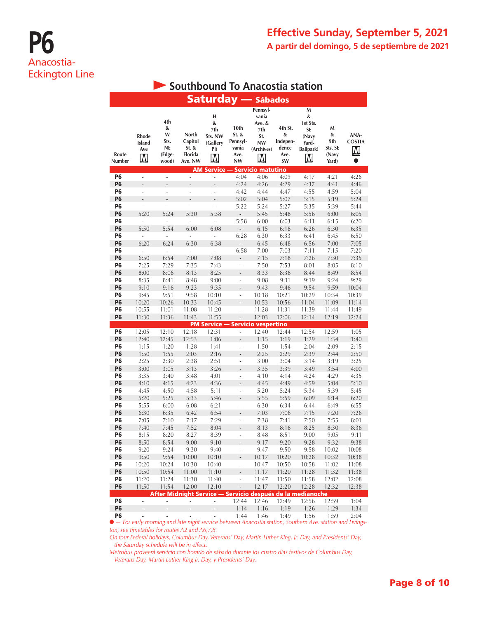|                 |                                    |                                | Southbound To Anacostia station                            |                                        |                                            |                                            |                                           |                                               |                                   |                            |
|-----------------|------------------------------------|--------------------------------|------------------------------------------------------------|----------------------------------------|--------------------------------------------|--------------------------------------------|-------------------------------------------|-----------------------------------------------|-----------------------------------|----------------------------|
|                 |                                    |                                |                                                            |                                        |                                            | <b>Saturday</b> - Sábados                  |                                           |                                               |                                   |                            |
|                 |                                    | 4th                            |                                                            | н<br>&                                 |                                            | Pennsyl-<br>vania<br>Ave. &                |                                           | M<br>&<br>1st Sts.                            |                                   |                            |
| Route           | <b>Rhode</b><br>Island<br>Ave<br>M | &<br>W<br>Sts.<br>NE<br>(Edge- | North<br>Capitol<br>St. &<br>Florida                       | 7th<br>Sts. NW<br>(Gallery<br>PI)<br>M | 10th<br>St. &<br>Pennsyl-<br>vania<br>Ave. | 7th<br>St.<br><b>NW</b><br>(Archives)<br>Μ | 4th St.<br>&<br>Indepen-<br>dence<br>Ave. | SE<br>(Navy<br>Yard-<br><b>Ballpark)</b><br>М | M<br>&<br>9th<br>Sts. SE<br>(Navy | ANA-<br><b>COSTIA</b><br>M |
| Number          |                                    | wood)                          | Ave. NW                                                    |                                        | <b>NW</b>                                  | <b>AM Service - Servicio matutino</b>      | SW                                        |                                               | Yard)                             | $\bullet$                  |
| P6              | $\overline{a}$                     | $\overline{a}$                 | ÷,                                                         | $\frac{1}{2}$                          | 4:04                                       | 4:06                                       | 4:09                                      | 4:17                                          | 4:21                              | 4:26                       |
| <b>P6</b>       |                                    |                                |                                                            |                                        | 4:24                                       | 4:26                                       | 4:29                                      | 4:37                                          | 4:41                              | 4:46                       |
| P6              | ÷,                                 | ÷,                             | ÷,                                                         | ÷,                                     | 4:42                                       | 4:44                                       | 4:47                                      | 4:55                                          | 4:59                              | 5:04                       |
| P6              | L.                                 |                                | L,                                                         |                                        | 5:02                                       | 5:04                                       | 5:07                                      | 5:15                                          | 5:19                              | 5:24                       |
| P6              | L                                  | L                              | $\overline{a}$                                             | $\overline{a}$                         | 5:22                                       | 5:24                                       | 5:27                                      | 5:35                                          | 5:39                              | 5:44                       |
| <b>P6</b>       | 5:20                               | 5:24                           | 5:30                                                       | 5:38                                   |                                            | 5:45                                       | 5:48                                      | 5:56                                          | 6:00                              | 6:05                       |
| P6              | $\overline{a}$                     |                                |                                                            |                                        | 5:58                                       | 6:00                                       | 6:03                                      | 6:11                                          | 6:15                              | 6:20                       |
| P6<br>P6        | 5:50<br>÷,                         | 5:54<br>÷,                     | 6:00                                                       | 6:08<br>Ĭ.                             | $\overline{\phantom{a}}$<br>6:28           | 6:15<br>6:30                               | 6:18<br>6:33                              | 6:26<br>6:41                                  | 6:30<br>6:45                      | 6:35<br>6:50               |
| <b>P6</b>       | 6:20                               | 6:24                           | 6:30                                                       | 6:38                                   |                                            | 6:45                                       | 6:48                                      | 6:56                                          | 7:00                              | 7:05                       |
| Р6              | ÷,                                 | ä,                             | L                                                          |                                        | 6:58                                       | 7:00                                       | 7:03                                      | 7:11                                          | 7:15                              | 7:20                       |
| <b>P6</b>       | 6:50                               | 6:54                           | 7:00                                                       | 7:08                                   |                                            | 7:15                                       | 7:18                                      | 7:26                                          | 7:30                              | 7:35                       |
| P6              | 7:25                               | 7:29                           | 7:35                                                       | 7:43                                   | $\overline{a}$                             | 7:50                                       | 7:53                                      | 8:01                                          | 8:05                              | 8:10                       |
| <b>P6</b>       | 8:00                               | 8:06                           | 8:13                                                       | 8:25                                   | $\overline{a}$                             | 8:33                                       | 8:36                                      | 8:44                                          | 8:49                              | 8:54                       |
| Р6              | 8:35                               | 8:41                           | 8:48                                                       | 9:00                                   | ÷,                                         | 9:08                                       | 9:11                                      | 9:19                                          | 9:24                              | 9:29                       |
| <b>P6</b>       | 9:10                               | 9:16                           | 9:23                                                       | 9:35                                   | $\overline{a}$                             | 9:43                                       | 9:46                                      | 9:54                                          | 9:59                              | 10:04                      |
| P6              | 9:45                               | 9:51                           | 9:58                                                       | 10:10                                  | ÷,                                         | 10:18                                      | 10:21                                     | 10:29                                         | 10:34                             | 10:39                      |
| <b>P6</b>       | 10:20                              | 10:26                          | 10:33                                                      | 10:45                                  | $\overline{a}$                             | 10:53                                      | 10:56                                     | 11:04                                         | 11:09                             | 11:14                      |
| P6<br><b>P6</b> | 10:55<br>11:30                     | 11:01<br>11:36                 | 11:08<br>11:43                                             | 11:20<br>11:55                         | i,<br>$\overline{a}$                       | 11:28<br>12:03                             | 11:31<br>12:06                            | 11:39<br>12:14                                | 11:44<br>12:19                    | 11:49<br>12:24             |
|                 |                                    |                                |                                                            |                                        |                                            | <b>PM Service - Servicio vespertino</b>    |                                           |                                               |                                   |                            |
| P6              | 12:05                              | 12:10                          | 12:18                                                      | 12:31                                  | ÷                                          | 12:40                                      | 12:44                                     | 12:54                                         | 12:59                             | 1:05                       |
| <b>P6</b>       | 12:40                              | 12:45                          | 12:53                                                      | 1:06                                   |                                            | 1:15                                       | 1:19                                      | 1:29                                          | 1:34                              | 1:40                       |
| P6              | 1:15                               | 1:20                           | 1:28                                                       | 1:41                                   | ÷,                                         | 1:50                                       | 1:54                                      | 2:04                                          | 2:09                              | 2:15                       |
| Р6              | 1:50                               | 1:55                           | 2:03                                                       | 2:16                                   | ÷,                                         | 2:25                                       | 2:29                                      | 2:39                                          | 2:44                              | 2:50                       |
| P6              | 2:25                               | 2:30                           | 2:38                                                       | 2:51                                   | i,                                         | 3:00                                       | 3:04                                      | 3:14                                          | 3:19                              | 3:25                       |
| <b>P6</b>       | 3:00                               | 3:05                           | 3:13                                                       | 3:26                                   |                                            | 3:35                                       | 3:39                                      | 3:49                                          | 3:54                              | 4:00                       |
| P6              | 3:35                               | 3:40                           | 3:48                                                       | 4:01                                   | ÷,                                         | 4:10                                       | 4:14                                      | 4:24                                          | 4:29                              | 4:35                       |
| <b>P6</b><br>P6 | 4:10<br>4:45                       | 4:15<br>4:50                   | 4:23<br>4:58                                               | 4:36<br>5:11                           | ÷                                          | 4:45<br>5:20                               | 4:49<br>5:24                              | 4:59<br>5:34                                  | 5:04<br>5:39                      | 5:10<br>5:45               |
| <b>P6</b>       | 5:20                               | 5:25                           | 5:33                                                       | 5:46                                   | ÷,                                         | 5:55                                       | 5:59                                      | 6:09                                          | 6:14                              | 6:20                       |
| P6              | 5:55                               | 6:00                           | 6:08                                                       | 6:21                                   | ÷,                                         | 6:30                                       | 6:34                                      | 6:44                                          | 6:49                              | 6:55                       |
| <b>P6</b>       | 6:30                               | 6:35                           | 6:42                                                       | 6:54                                   |                                            | 7:03                                       | 7:06                                      | 7:15                                          | 7:20                              | 7:26                       |
| Р6              | 7:05                               | 7:10                           | 7:17                                                       | 7:29                                   |                                            | 7:38                                       | 7:41                                      | 7:50                                          | 7:55                              | 8:01                       |
| Р6              | 7:40                               | 7:45                           | 7:52                                                       | 8:04                                   | L,                                         | 8:13                                       | 8:16                                      | 8:25                                          | 8:30                              | 8:36                       |
| Р6              | 8:15                               | 8:20                           | 8:27                                                       | 8:39                                   | $\overline{\phantom{a}}$                   | 8:48                                       | 8:51                                      | 9:00                                          | 9:05                              | 9:11                       |
| <b>P6</b>       | 8:50                               | 8:54                           | 9:00                                                       | 9:10                                   | L,                                         | 9:17                                       | 9:20                                      | 9:28                                          | 9:32                              | 9:38                       |
| P6<br><b>P6</b> | 9:20<br>9:50                       | 9:24<br>9:54                   | 9:30<br>10:00                                              | 9:40<br>10:10                          | ÷,                                         | 9:47<br>10:17                              | 9:50<br>10:20                             | 9:58<br>10:28                                 | 10:02<br>10:32                    | 10:08<br>10:38             |
| <b>P6</b>       | 10:20                              | 10:24                          | 10:30                                                      | 10:40                                  | $\overline{\phantom{0}}$<br>÷,             | 10:47                                      | 10:50                                     | 10:58                                         | 11:02                             | 11:08                      |
| <b>P6</b>       | 10:50                              | 10:54                          | 11:00                                                      | 11:10                                  | $\frac{1}{2}$                              | 11:17                                      | 11:20                                     | 11:28                                         | 11:32                             | 11:38                      |
| <b>P6</b>       | 11:20                              | 11:24                          | 11:30                                                      | 11:40                                  | $\overline{\phantom{m}}$                   | 11:47                                      | 11:50                                     | 11:58                                         | 12:02                             | 12:08                      |
| P <sub>6</sub>  | 11:50                              | 11:54                          | 12:00                                                      | 12:10                                  | ÷,                                         | 12:17                                      | 12:20                                     | 12:28                                         | 12:32                             | 12:38                      |
|                 |                                    |                                | After Midnight Service - Servicio después de la medianoche |                                        |                                            |                                            |                                           |                                               |                                   |                            |
| <b>P6</b>       | ÷,                                 | ÷,                             | ÷,                                                         | ÷,                                     | 12:44                                      | 12:46                                      | 12:49                                     | 12:56                                         | 12:59                             | 1:04                       |
| <b>P6</b>       | $\frac{1}{2}$                      | $\overline{a}$                 | $\overline{a}$                                             | ÷,                                     | 1:14                                       | 1:16                                       | 1:19                                      | 1:26                                          | 1:29                              | 1:34                       |
| <b>P6</b>       | $\overline{a}$                     | L                              | $\overline{a}$                                             | $\overline{a}$                         | 1:44                                       | 1:46                                       | 1:49                                      | 1:56                                          | 1:59                              | 2:04                       |

l *— For early morning and late night service between Anacostia station, Southern Ave. station and Livings-* P6 - - - - 1:44 1:46 1:49 1:56 1:59 2:04*ton, see timetables for routes A2 and A6,7,8.* 

*On four Federal holidays, Columbus Day, Veterans' Day, Martin Luther King, Jr. Day, and Presidents' Day, the Saturday schedule will be in effect.*

*Metrobus proveerá servicio con horario de sábado durante los cuatro días festivos de Columbus Day,* 

*Veterans Day, Martin Luther King Jr. Day, y Presidents' Day.*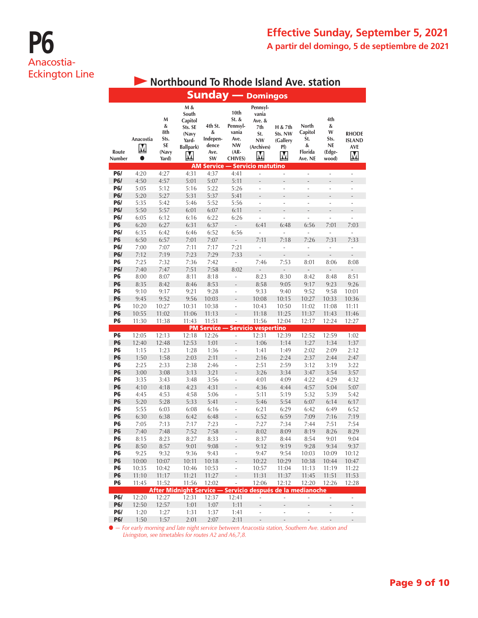# **P6** Anacostia-Eckington Line

|                 |                             |                                               |                                                                        |                                                 |                                                                               | <b>Sunday — Domingos</b>                                                  |                                            |                                                           |                                                       |                                                  |
|-----------------|-----------------------------|-----------------------------------------------|------------------------------------------------------------------------|-------------------------------------------------|-------------------------------------------------------------------------------|---------------------------------------------------------------------------|--------------------------------------------|-----------------------------------------------------------|-------------------------------------------------------|--------------------------------------------------|
| Route<br>Number | Anacostia<br>M<br>$\bullet$ | M<br>&<br>8th<br>Sts.<br>SE<br>(Navy<br>Yard) | M &<br>South<br>Capitol<br>Sts. SE<br>(Navy<br>Yard-<br>Ballpark)<br>M | 4th St.<br>&<br>Indepen-<br>dence<br>Ave.<br>SW | 10th<br>$St.$ &<br>Pennsyl-<br>vania<br>Ave.<br>NW<br>(AR-<br><b>CHIVES</b> ) | Pennsyl-<br>vania<br>Ave. &<br>7th<br>St.<br><b>NW</b><br>(Archives)<br>M | H & 7th<br>Sts. NW<br>(Gallery<br>PI)<br>M | <b>North</b><br>Capitol<br>St.<br>&<br>Florida<br>Ave. NE | 4th<br>&<br>W<br>Sts.<br><b>NE</b><br>(Edge-<br>wood) | <b>RHODE</b><br><b>ISLAND</b><br><b>AVE</b><br>Μ |
| <b>P6/</b>      | 4:20                        | 4:27                                          | 4:31                                                                   | 4:37                                            | 4:41                                                                          | <b>AM Service - Servicio matutino</b><br>÷,                               | ä,                                         | ä,                                                        | ÷,                                                    | ä,                                               |
| <b>P6/</b>      | 4:50                        | 4:57                                          | 5:01                                                                   | 5:07                                            | 5:11                                                                          | $\overline{a}$                                                            |                                            |                                                           |                                                       |                                                  |
| <b>P6/</b>      | 5:05                        | 5:12                                          | 5:16                                                                   | 5:22                                            | 5:26                                                                          | $\overline{a}$                                                            | ÷,                                         | ÷,                                                        | ÷,                                                    | ä,                                               |
| <b>P6/</b>      | 5:20                        | 5:27                                          | 5:31                                                                   | 5:37                                            | 5:41                                                                          | $\overline{a}$                                                            |                                            |                                                           |                                                       |                                                  |
| <b>P6/</b>      | 5:35                        | 5:42                                          | 5:46                                                                   | 5:52                                            | 5:56                                                                          | $\overline{a}$                                                            | L.                                         | J.                                                        | L.                                                    | ä,                                               |
| <b>P6/</b>      | 5:50                        | 5:57                                          | 6:01                                                                   | 6:07                                            | 6:11                                                                          | L,                                                                        |                                            |                                                           |                                                       |                                                  |
| <b>P6/</b>      | 6:05                        | 6:12                                          | 6:16                                                                   | 6:22                                            | 6:26                                                                          | $\overline{a}$                                                            |                                            |                                                           |                                                       | L,                                               |
| <b>P6</b>       | 6:20                        | 6:27                                          | 6:31                                                                   | 6:37                                            | $\overline{a}$                                                                | 6:41                                                                      | 6:48                                       | 6:56                                                      | 7:01                                                  | 7:03                                             |
| <b>P6/</b>      | 6:35                        | 6:42                                          | 6:46                                                                   | 6:52                                            | 6:56                                                                          | ÷,                                                                        | $\frac{1}{2}$                              | ÷                                                         | ÷                                                     | ÷                                                |
| <b>P6</b>       | 6:50                        | 6:57                                          | 7:01                                                                   | 7:07                                            | $\overline{a}$                                                                | 7:11                                                                      | 7:18                                       | 7:26                                                      | 7:31                                                  | 7:33                                             |
| <b>P6/</b>      | 7:00                        | 7:07                                          | 7:11                                                                   | 7:17                                            | 7:21                                                                          | ÷,                                                                        | $\overline{a}$                             | L,                                                        | $\overline{a}$                                        | $\overline{a}$                                   |
| <b>P6/</b>      | 7:12                        | 7:19                                          | 7:23                                                                   | 7:29                                            | 7:33                                                                          |                                                                           |                                            |                                                           |                                                       |                                                  |
| P6              | 7:25                        | 7:32                                          | 7:36                                                                   | 7:42                                            | L,                                                                            | 7:46                                                                      | 7:53                                       | 8:01                                                      | 8:06                                                  | 8:08                                             |
| <b>P6/</b>      | 7:40                        | 7:47                                          | 7:51                                                                   | 7:58                                            | 8:02                                                                          | $\overline{a}$                                                            | $\qquad \qquad \blacksquare$               | $\overline{a}$                                            | $\overline{a}$                                        | $\overline{a}$                                   |
| P6              | 8:00                        | 8:07                                          | 8:11                                                                   | 8:18                                            | $\overline{a}$                                                                | 8:23                                                                      | 8:30                                       | 8:42                                                      | 8:48                                                  | 8:51                                             |
| <b>P6</b>       | 8:35                        | 8:42                                          | 8:46                                                                   | 8:53                                            |                                                                               | 8:58                                                                      | 9:05                                       | 9:17                                                      | 9:23                                                  | 9:26                                             |
| P6              | 9:10                        | 9:17                                          | 9:21                                                                   | 9:28                                            | ä,                                                                            | 9:33                                                                      | 9:40                                       | 9:52                                                      | 9:58                                                  | 10:01                                            |
| <b>P6</b>       | 9:45                        | 9:52                                          | 9:56                                                                   | 10:03                                           | $\overline{a}$                                                                | 10:08                                                                     | 10:15                                      | 10:27                                                     | 10:33                                                 | 10:36                                            |
| P6              | 10:20                       | 10:27                                         | 10:31                                                                  | 10:38                                           | $\frac{1}{2}$                                                                 | 10:43                                                                     | 10:50                                      | 11:02                                                     | 11:08                                                 | 11:11                                            |
| <b>P6</b>       | 10:55                       | 11:02                                         | 11:06                                                                  | 11:13                                           | $\overline{a}$                                                                | 11:18                                                                     | 11:25                                      | 11:37                                                     | 11:43                                                 | 11:46                                            |
| P6              | 11:30                       | 11:38                                         | 11:43                                                                  | 11:51                                           |                                                                               | 11:56<br><b>PM Service - Servicio vespertino</b>                          | 12:04                                      | 12:17                                                     | 12:24                                                 | 12:27                                            |
| <b>P6</b>       | 12:05                       | 12:13                                         | 12:18                                                                  | 12:26                                           | ÷                                                                             | 12:31                                                                     | 12:39                                      | 12:52                                                     | 12:59                                                 | 1:02                                             |
| P6              | 12:40                       | 12:48                                         | 12:53                                                                  | 1:01                                            |                                                                               | 1:06                                                                      | 1:14                                       | 1:27                                                      | 1:34                                                  | 1:37                                             |
| P6              | 1:15                        | 1:23                                          | 1:28                                                                   | 1:36                                            | ÷,                                                                            | 1:41                                                                      | 1:49                                       | 2:02                                                      | 2:09                                                  | 2:12                                             |
| <b>P6</b>       | 1:50                        | 1:58                                          | 2:03                                                                   | 2:11                                            |                                                                               | 2:16                                                                      | 2:24                                       | 2:37                                                      | 2:44                                                  | 2:47                                             |
| P6              | 2:25                        | 2:33                                          | 2:38                                                                   | 2:46                                            | ÷,                                                                            | 2:51                                                                      | 2:59                                       | 3:12                                                      | 3:19                                                  | 3:22                                             |
| P6              | 3:00                        | 3:08                                          | 3:13                                                                   | 3:21                                            | L.                                                                            | 3:26                                                                      | 3:34                                       | 3:47                                                      | 3:54                                                  | 3:57                                             |
| Р6              | 3:35                        | 3:43                                          | 3:48                                                                   | 3:56                                            | ÷,                                                                            | 4:01                                                                      | 4:09                                       | 4:22                                                      | 4:29                                                  | 4:32                                             |
| <b>P6</b>       | 4:10                        | 4:18                                          | 4:23                                                                   | 4:31                                            |                                                                               | 4:36                                                                      | 4:44                                       | 4:57                                                      | 5:04                                                  | 5:07                                             |
| P6              | 4:45                        | 4:53                                          | 4:58                                                                   | 5:06                                            | ä,                                                                            | 5:11                                                                      | 5:19                                       | 5:32                                                      | 5:39                                                  | 5:42                                             |
| <b>P6</b>       | 5:20                        | 5:28                                          | 5:33                                                                   | 5:41                                            | ÷,                                                                            | 5:46                                                                      | 5:54                                       | 6:07                                                      | 6:14                                                  | 6:17                                             |
| P6              | 5:55                        | 6:03                                          | 6:08                                                                   | 6:16                                            | ÷                                                                             | 6:21                                                                      | 6:29                                       | 6:42                                                      | 6:49                                                  | 6:52                                             |
| <b>P6</b>       | 6:30                        | 6:38                                          | 6:42                                                                   | 6:48                                            |                                                                               | 6:52                                                                      | 6:59                                       | 7:09                                                      | 7:16                                                  | 7:19                                             |
| P6              | 7:05                        | 7:13                                          | 7:17                                                                   | 7:23                                            | ä,                                                                            | 7:27                                                                      | 7:34                                       | 7:44                                                      | 7:51                                                  | 7:54                                             |
| <b>P6</b>       | 7:40                        | 7:48                                          | 7:52                                                                   | 7:58                                            |                                                                               | 8:02                                                                      | 8:09                                       | 8:19                                                      | 8:26                                                  | 8:29                                             |
| P6              | 8:15                        | 8:23                                          | 8:27                                                                   | 8:33                                            | ÷                                                                             | 8:37                                                                      | 8:44                                       | 8:54                                                      | 9:01                                                  | 9:04                                             |
| <b>P6</b>       | 8:50                        | 8:57                                          | 9:01                                                                   | 9:08                                            |                                                                               | 9:12                                                                      | 9:19                                       | 9:28                                                      | 9:34                                                  | 9:37                                             |
| Р6              | 9:25                        | 9:32                                          | 9:36                                                                   | 9:43                                            | ÷                                                                             | 9:47                                                                      | 9:54                                       | 10:03                                                     | 10:09                                                 | 10:12                                            |
| P6<br><b>P6</b> | 10:00                       | 10:07                                         | 10:11                                                                  | 10:18                                           | $\frac{1}{2}$                                                                 | 10:22                                                                     | 10:29                                      | 10:38                                                     | 10:44                                                 | 10:47                                            |
| P <sub>6</sub>  | 10:35<br>11:10              | 10:42<br>11:17                                | 10:46                                                                  | 10:53                                           | ÷,                                                                            | 10:57<br>11:31                                                            | 11:04                                      | 11:13<br>11:45                                            | 11:19<br>11:51                                        | 11:22                                            |
| P6              | 11:45                       |                                               | 11:21                                                                  | 11:27<br>12:02                                  | ÷,                                                                            | 12:06                                                                     | 11:37                                      |                                                           |                                                       | 11:53                                            |
|                 |                             | 11:52                                         | 11:56<br>After Midnight Service - Servicio después de la medianoche    |                                                 |                                                                               |                                                                           | 12:12                                      | 12:20                                                     | 12:26                                                 | 12:28                                            |
| <b>P6/</b>      | 12:20                       | 12:27                                         | 12:31                                                                  | 12:37                                           | 12:41                                                                         | i,                                                                        | L,                                         | ÷                                                         | ÷,                                                    | $\overline{\phantom{a}}$                         |
| <b>P6/</b>      | 12:50                       | 12:57                                         | 1:01                                                                   | 1:07                                            | 1:11                                                                          | ÷,                                                                        | $\overline{a}$                             | $\qquad \qquad -$                                         | $\overline{a}$                                        | $\qquad \qquad -$                                |
| P6/             | 1:20                        | 1:27                                          | 1:31                                                                   | 1:37                                            | 1:41                                                                          | l,                                                                        | $\overline{a}$                             | L,                                                        | -                                                     | ÷                                                |
| <b>P6/</b>      | 1:50                        | 1:57                                          | 2:01                                                                   | 2:07                                            | 2:11                                                                          | $\overline{a}$                                                            | $\overline{a}$                             | ÷,                                                        | $\overline{a}$                                        | $\overline{a}$                                   |

**• Northbound To Rhode Island Ave. station** 

l *— For early morning and late night service between Anacostia station, Southern Ave. station and Livingston, see timetables for routes A2 and A6,7,8.*